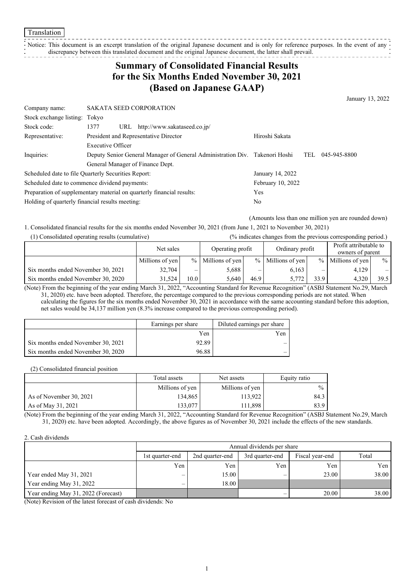Notice: This document is an excerpt translation of the original Japanese document and is only for reference purposes. In the event of any  $\cdot$ discrepancy between this translated document and the original Japanese document, the latter shall prevail.

## **Summary of Consolidated Financial Results for the Six Months Ended November 30, 2021 (Based on Japanese GAAP)**

January 13, 2022

| Company name:                                                         | <b>SAKATA SEED CORPORATION</b>                                              |                   |     |              |
|-----------------------------------------------------------------------|-----------------------------------------------------------------------------|-------------------|-----|--------------|
| Stock exchange listing: Tokyo                                         |                                                                             |                   |     |              |
| Stock code:                                                           | URL http://www.sakataseed.co.jp/<br>1377                                    |                   |     |              |
| Representative:                                                       | President and Representative Director                                       | Hiroshi Sakata    |     |              |
|                                                                       | Executive Officer                                                           |                   |     |              |
| Inquiries:                                                            | Deputy Senior General Manager of General Administration Div. Takenori Hoshi |                   | TEL | 045-945-8800 |
|                                                                       | General Manager of Finance Dept.                                            |                   |     |              |
|                                                                       | Scheduled date to file Quarterly Securities Report:                         | January 14, 2022  |     |              |
| Scheduled date to commence dividend payments:                         |                                                                             | February 10, 2022 |     |              |
| Preparation of supplementary material on quarterly financial results: |                                                                             | Yes               |     |              |
| Holding of quarterly financial results meeting:                       |                                                                             | No.               |     |              |
|                                                                       |                                                                             |                   |     |              |

(Amounts less than one million yen are rounded down)

1. Consolidated financial results for the six months ended November 30, 2021 (from June 1, 2021 to November 30, 2021)

| (1) Consolidated operating results (cumulative) |                 |      | (% indicates changes from the previous corresponding period.) |      |                     |      |                                            |                 |
|-------------------------------------------------|-----------------|------|---------------------------------------------------------------|------|---------------------|------|--------------------------------------------|-----------------|
|                                                 | Net sales       |      | Operating profit                                              |      | Ordinary profit     |      | Profit attributable to<br>owners of parent |                 |
|                                                 | Millions of yen |      | $%$ Millions of yen                                           |      | $%$ Millions of yen |      | % Millions of yen                          | $\frac{9}{6}$ 1 |
| Six months ended November 30, 2021              | 32,704          |      | 5.688                                                         |      | 6.163               | _    | 4,129                                      |                 |
| Six months ended November 30, 2020              | 31.524          | 10.0 | 5.640                                                         | 46.9 | 5.772               | 33.9 | 4.320                                      | 39.5            |

(Note) From the beginning of the year ending March 31, 2022, "Accounting Standard for Revenue Recognition" (ASBJ Statement No.29, March 31, 2020) etc. have been adopted. Therefore, the percentage compared to the previous corresponding periods are not stated. When calculating the figures for the six months ended November 30, 2021 in accordance with the same accounting standard before this adoption, net sales would be 34,137 million yen (8.3% increase compared to the previous corresponding period).

|                                    | Earnings per share | Diluted earnings per share |
|------------------------------------|--------------------|----------------------------|
|                                    | Yen                | Yen                        |
| Six months ended November 30, 2021 | 92.89              |                            |
| Six months ended November 30, 2020 | 96.88              |                            |

(2) Consolidated financial position

|                         | Total assets    | Net assets      | Equity ratio |
|-------------------------|-----------------|-----------------|--------------|
|                         | Millions of yen | Millions of yen | $\%$         |
| As of November 30, 2021 | 134,865         | 13.922          | 84.3         |
| As of May 31, 2021      | 133.077         | 11,898          | 83.9         |

(Note) From the beginning of the year ending March 31, 2022, "Accounting Standard for Revenue Recognition" (ASBJ Statement No.29, March 31, 2020) etc. have been adopted. Accordingly, the above figures as of November 30, 2021 include the effects of the new standards.

#### 2. Cash dividends

|                                     |                 | Annual dividends per share                                     |     |       |       |  |  |  |  |  |
|-------------------------------------|-----------------|----------------------------------------------------------------|-----|-------|-------|--|--|--|--|--|
|                                     | 1st quarter-end | Total<br>3rd quarter-end<br>Fiscal year-end<br>2nd quarter-end |     |       |       |  |  |  |  |  |
|                                     | Yen             | Yen                                                            | Yen | Yen   | Yen   |  |  |  |  |  |
| Year ended May 31, 2021             | —               | 15.00                                                          | –   | 23.00 | 38.00 |  |  |  |  |  |
| Year ending May 31, 2022            | —               | 18.00                                                          |     |       |       |  |  |  |  |  |
| Year ending May 31, 2022 (Forecast) |                 |                                                                |     | 20.00 | 38.00 |  |  |  |  |  |

(Note) Revision of the latest forecast of cash dividends: No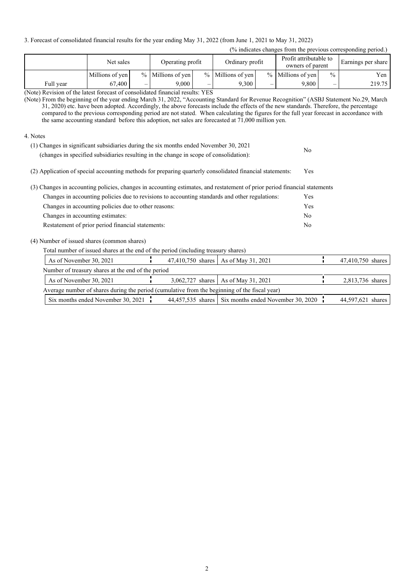3. Forecast of consolidated financial results for the year ending May 31, 2022 (from June 1, 2021 to May 31, 2022)

#### (% indicates changes from the previous corresponding period.)

|                                                                   | Net sales       |                          | Operating profit    |   | Ordinary profit     |   | Profit attributable to<br>owners of parent |               |        | Earnings per share |
|-------------------------------------------------------------------|-----------------|--------------------------|---------------------|---|---------------------|---|--------------------------------------------|---------------|--------|--------------------|
|                                                                   | Millions of yen |                          | $%$ Millions of yen |   | $%$ Millions of yen |   | % Millions of yen                          | $\frac{0}{0}$ | Yen    |                    |
| Full year                                                         | 67,400          | $\overline{\phantom{0}}$ | 9.000               | – | 9.300               | – | 9.800                                      | –             | 219.75 |                    |
| $\Delta T$ is the called a contract of the contract of $\Delta T$ |                 |                          |                     |   |                     |   |                                            |               |        |                    |

(Note) Revision of the latest forecast of consolidated financial results: YES

(Note) From the beginning of the year ending March 31, 2022, "Accounting Standard for Revenue Recognition" (ASBJ Statement No.29, March 31, 2020) etc. have been adopted. Accordingly, the above forecasts include the effects of the new standards. Therefore, the percentage compared to the previous corresponding period are not stated. When calculating the figures for the full year forecast in accordance with the same accounting standard before this adoption, net sales are forecasted at 71,000 million yen.

4. Notes

| (1) Changes in significant subsidiaries during the six months ended November 30, 2021  | No |
|----------------------------------------------------------------------------------------|----|
| (changes in specified subsidiaries resulting in the change in scope of consolidation): |    |

(2) Application of special accounting methods for preparing quarterly consolidated financial statements: Yes

| (3) Changes in accounting policies, changes in accounting estimates, and restatement of prior period financial statements |            |
|---------------------------------------------------------------------------------------------------------------------------|------------|
| Changes in accounting policies due to revisions to accounting standards and other regulations:                            | <b>Yes</b> |
| Changes in accounting policies due to other reasons:                                                                      | Yes        |
| Changes in accounting estimates:                                                                                          | No         |
| Restatement of prior period financial statements:                                                                         | No         |

(4) Number of issued shares (common shares)

Total number of issued shares at the end of the period (including treasury shares)

| As of November 30, 2021                                                                       |  | 47,410,750 shares As of May 31, 2021                 | 47,410,750 shares |
|-----------------------------------------------------------------------------------------------|--|------------------------------------------------------|-------------------|
| Number of treasury shares at the end of the period                                            |  |                                                      |                   |
| As of November 30, 2021                                                                       |  | 3,062,727 shares   As of May 31, 2021                | 2,813,736 shares  |
| Average number of shares during the period (cumulative from the beginning of the fiscal year) |  |                                                      |                   |
| Six months ended November 30, 2021 $\frac{1}{2}$                                              |  | 44,457,535 shares Six months ended November 30, 2020 | 44,597,621 shares |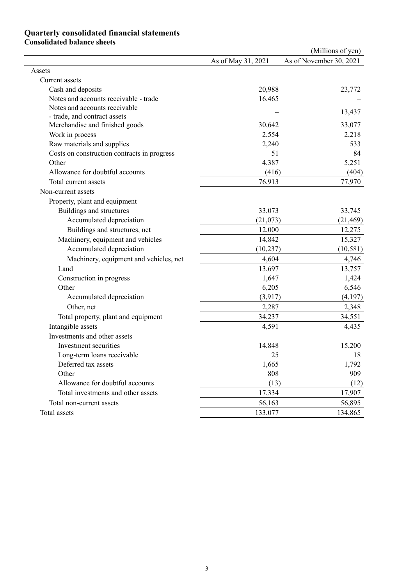### **Quarterly consolidated financial statements Consolidated balance sheets**

|                                             |                    | (Millions of yen)       |
|---------------------------------------------|--------------------|-------------------------|
|                                             | As of May 31, 2021 | As of November 30, 2021 |
| Assets                                      |                    |                         |
| Current assets                              |                    |                         |
| Cash and deposits                           | 20,988             | 23,772                  |
| Notes and accounts receivable - trade       | 16,465             |                         |
| Notes and accounts receivable               |                    | 13,437                  |
| - trade, and contract assets                |                    |                         |
| Merchandise and finished goods              | 30,642             | 33,077                  |
| Work in process                             | 2,554              | 2,218                   |
| Raw materials and supplies                  | 2,240              | 533                     |
| Costs on construction contracts in progress | 51                 | 84                      |
| Other                                       | 4,387              | 5,251                   |
| Allowance for doubtful accounts             | (416)              | (404)                   |
| Total current assets                        | 76,913             | 77,970                  |
| Non-current assets                          |                    |                         |
| Property, plant and equipment               |                    |                         |
| Buildings and structures                    | 33,073             | 33,745                  |
| Accumulated depreciation                    | (21,073)           | (21, 469)               |
| Buildings and structures, net               | 12,000             | 12,275                  |
| Machinery, equipment and vehicles           | 14,842             | 15,327                  |
| Accumulated depreciation                    | (10, 237)          | (10, 581)               |
| Machinery, equipment and vehicles, net      | 4,604              | 4,746                   |
| Land                                        | 13,697             | 13,757                  |
| Construction in progress                    | 1,647              | 1,424                   |
| Other                                       | 6,205              | 6,546                   |
| Accumulated depreciation                    | (3,917)            | (4,197)                 |
| Other, net                                  | 2,287              | 2,348                   |
| Total property, plant and equipment         | 34,237             | 34,551                  |
| Intangible assets                           | 4,591              | 4,435                   |
| Investments and other assets                |                    |                         |
| Investment securities                       | 14,848             | 15,200                  |
| Long-term loans receivable                  | 25                 | 18                      |
| Deferred tax assets                         | 1,665              | 1,792                   |
| Other                                       | 808                | 909                     |
| Allowance for doubtful accounts             | (13)               | (12)                    |
| Total investments and other assets          | 17,334             | 17,907                  |
| Total non-current assets                    | 56,163             | 56,895                  |
| Total assets                                | 133,077            | 134,865                 |
|                                             |                    |                         |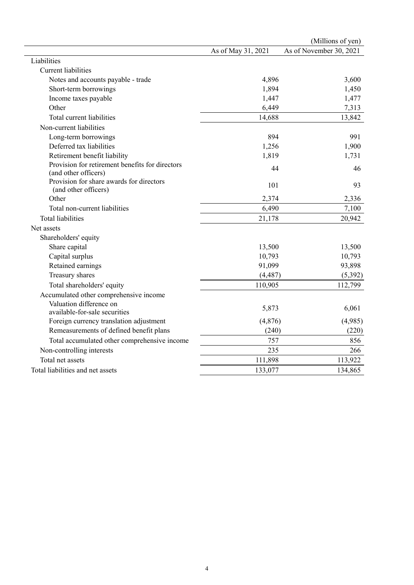|                                                 |                    | (Millions of yen)       |
|-------------------------------------------------|--------------------|-------------------------|
|                                                 | As of May 31, 2021 | As of November 30, 2021 |
| Liabilities                                     |                    |                         |
| <b>Current liabilities</b>                      |                    |                         |
| Notes and accounts payable - trade              | 4,896              | 3,600                   |
| Short-term borrowings                           | 1,894              | 1,450                   |
| Income taxes payable                            | 1,447              | 1,477                   |
| Other                                           | 6,449              | 7,313                   |
| Total current liabilities                       | 14,688             | 13,842                  |
| Non-current liabilities                         |                    |                         |
| Long-term borrowings                            | 894                | 991                     |
| Deferred tax liabilities                        | 1,256              | 1,900                   |
| Retirement benefit liability                    | 1,819              | 1,731                   |
| Provision for retirement benefits for directors | 44                 | 46                      |
| (and other officers)                            |                    |                         |
| Provision for share awards for directors        | 101                | 93                      |
| (and other officers)                            |                    |                         |
| Other                                           | 2,374              | 2,336                   |
| Total non-current liabilities                   | 6,490              | 7,100                   |
| <b>Total liabilities</b>                        | 21,178             | 20,942                  |
| Net assets                                      |                    |                         |
| Shareholders' equity                            |                    |                         |
| Share capital                                   | 13,500             | 13,500                  |
| Capital surplus                                 | 10,793             | 10,793                  |
| Retained earnings                               | 91,099             | 93,898                  |
| Treasury shares                                 | (4, 487)           | (5, 392)                |
| Total shareholders' equity                      | 110,905            | 112,799                 |
| Accumulated other comprehensive income          |                    |                         |
| Valuation difference on                         | 5,873              | 6,061                   |
| available-for-sale securities                   |                    |                         |
| Foreign currency translation adjustment         | (4, 876)           | (4,985)                 |
| Remeasurements of defined benefit plans         | (240)              | (220)                   |
| Total accumulated other comprehensive income    | 757                | 856                     |
| Non-controlling interests                       | 235                | 266                     |
| Total net assets                                | 111,898            | 113,922                 |
| Total liabilities and net assets                | 133,077            | 134,865                 |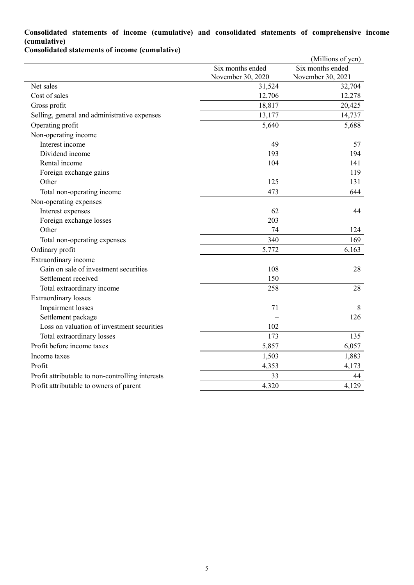## **Consolidated statements of income (cumulative) and consolidated statements of comprehensive income (cumulative)**

**Consolidated statements of income (cumulative)**

|                                                  |                                       | (Millions of yen)                     |
|--------------------------------------------------|---------------------------------------|---------------------------------------|
|                                                  | Six months ended<br>November 30, 2020 | Six months ended<br>November 30, 2021 |
| Net sales                                        | 31,524                                | 32,704                                |
| Cost of sales                                    | 12,706                                | 12,278                                |
| Gross profit                                     | 18,817                                | 20,425                                |
| Selling, general and administrative expenses     | 13,177                                | 14,737                                |
| Operating profit                                 | 5,640                                 | 5,688                                 |
| Non-operating income                             |                                       |                                       |
| Interest income                                  | 49                                    | 57                                    |
| Dividend income                                  | 193                                   | 194                                   |
| Rental income                                    | 104                                   | 141                                   |
| Foreign exchange gains                           |                                       | 119                                   |
| Other                                            | 125                                   | 131                                   |
| Total non-operating income                       | 473                                   | 644                                   |
| Non-operating expenses                           |                                       |                                       |
| Interest expenses                                | 62                                    | 44                                    |
| Foreign exchange losses                          | 203                                   |                                       |
| Other                                            | 74                                    | 124                                   |
| Total non-operating expenses                     | 340                                   | 169                                   |
| Ordinary profit                                  | 5,772                                 | 6,163                                 |
| Extraordinary income                             |                                       |                                       |
| Gain on sale of investment securities            | 108                                   | 28                                    |
| Settlement received                              | 150                                   |                                       |
| Total extraordinary income                       | 258                                   | 28                                    |
| <b>Extraordinary</b> losses                      |                                       |                                       |
| <b>Impairment</b> losses                         | 71                                    | 8                                     |
| Settlement package                               |                                       | 126                                   |
| Loss on valuation of investment securities       | 102                                   |                                       |
| Total extraordinary losses                       | 173                                   | 135                                   |
| Profit before income taxes                       | 5,857                                 | 6,057                                 |
| Income taxes                                     | 1,503                                 | 1,883                                 |
| Profit                                           | 4,353                                 | 4,173                                 |
| Profit attributable to non-controlling interests | 33                                    | 44                                    |
| Profit attributable to owners of parent          | 4,320                                 | 4,129                                 |
|                                                  |                                       |                                       |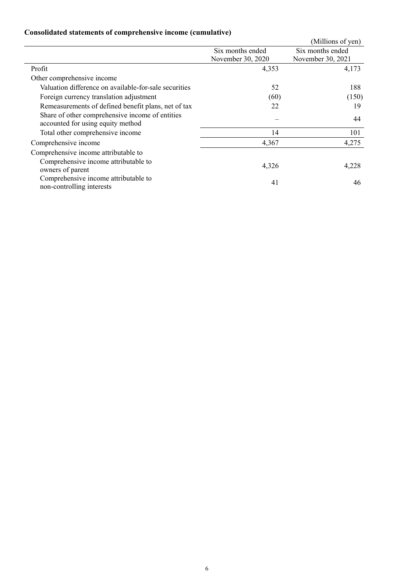# **Consolidated statements of comprehensive income (cumulative)**

|                                                                                      |                   | (Millions of yen) |
|--------------------------------------------------------------------------------------|-------------------|-------------------|
|                                                                                      | Six months ended  | Six months ended  |
|                                                                                      | November 30, 2020 | November 30, 2021 |
| Profit                                                                               | 4,353             | 4,173             |
| Other comprehensive income                                                           |                   |                   |
| Valuation difference on available-for-sale securities                                | 52                | 188               |
| Foreign currency translation adjustment                                              | (60)              | (150)             |
| Remeasurements of defined benefit plans, net of tax                                  | 22                | 19                |
| Share of other comprehensive income of entities<br>accounted for using equity method |                   | 44                |
| Total other comprehensive income                                                     | 14                | 101               |
| Comprehensive income                                                                 | 4,367             | 4,275             |
| Comprehensive income attributable to                                                 |                   |                   |
| Comprehensive income attributable to<br>owners of parent                             | 4,326             | 4,228             |
| Comprehensive income attributable to<br>non-controlling interests                    | 41                | 46                |